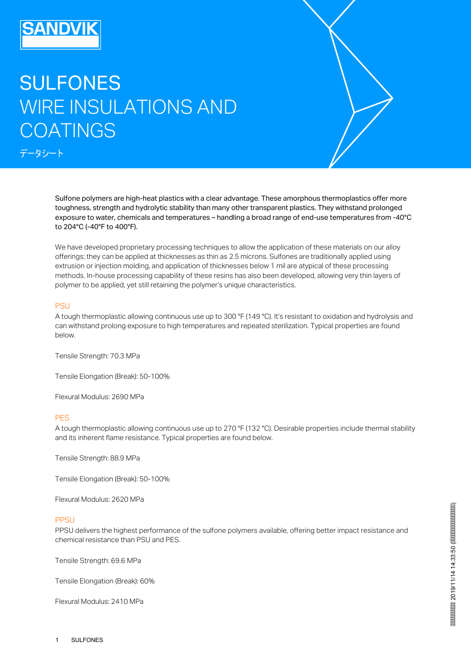## SULFONES WIRE INSULATIONS AND COATINGS

データシート

Sulfone polymers are high-heat plastics with a clear advantage. These amorphous thermoplastics offer more toughness, strength and hydrolytic stability than many other transparent plastics. They withstand prolonged exposure to water, chemicals and temperatures – handling a broad range of end-use temperatures from -40°C to 204°C (-40°F to 400°F).

We have developed proprietary processing techniques to allow the application of these materials on our alloy offerings; they can be applied at thicknesses as thin as 2.5 microns. Sulfones are traditionally applied using extrusion or injection molding, and application of thicknesses below 1 mil are atypical of these processing methods. In-house processing capability of these resins has also been developed, allowing very thin layers of polymer to be applied, yet still retaining the polymer's unique characteristics.

## **PSU**

A tough thermoplastic allowing continuous use up to 300 °F (149 °C). It's resistant to oxidation and hydrolysis and can withstand prolong exposure to high temperatures and repeated sterilization. Typical properties are found below.

Tensile Strength: 70.3 MPa

Tensile Elongation (Break): 50-100%

Flexural Modulus: 2690 MPa

## **PFS**

A tough thermoplastic allowing continuous use up to 270 °F (132 °C). Desirable properties include thermal stability and its inherent flame resistance. Typical properties are found below.

Tensile Strength: 88.9 MPa

Tensile Elongation (Break): 50-100%

Flexural Modulus: 2620 MPa

## **PPSU**

PPSU delivers the highest performance of the sulfone polymers available, offering better impact resistance and chemical resistance than PSU and PES.

Tensile Strength: 69.6 MPa

Tensile Elongation (Break): 60%

Flexural Modulus: 2410 MPa